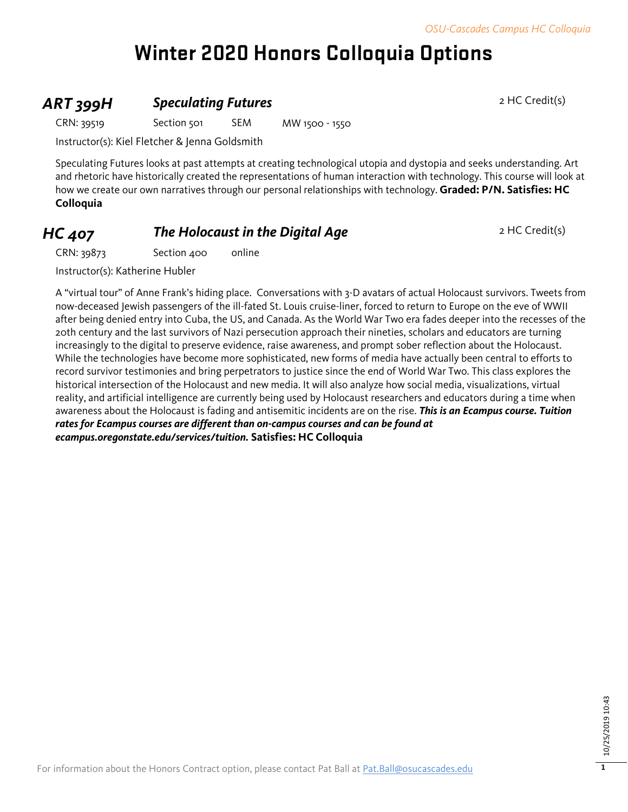# **Winter 2020 Honors Colloquia Options**

### **ART 399H Speculating Futures** 2 HC Credit(s)

CRN: 39519 Section 501 SEM MW 1500 - 1550

Instructor(s): Kiel Fletcher & Jenna Goldsmith

Speculating Futures looks at past attempts at creating technological utopia and dystopia and seeks understanding. Art and rhetoric have historically created the representations of human interaction with technology. This course will look at how we create our own narratives through our personal relationships with technology. **Graded: P/N. Satisfies: HC Colloquia**

### **HC 407 The Holocaust in the Digital Age** 2 HC Credit(s)

CRN: 39873 Section 400 online

Instructor(s): Katherine Hubler

A "virtual tour" of Anne Frank's hiding place. Conversations with 3-D avatars of actual Holocaust survivors. Tweets from now-deceased Jewish passengers of the ill-fated St. Louis cruise-liner, forced to return to Europe on the eve of WWII after being denied entry into Cuba, the US, and Canada. As the World War Two era fades deeper into the recesses of the 20th century and the last survivors of Nazi persecution approach their nineties, scholars and educators are turning increasingly to the digital to preserve evidence, raise awareness, and prompt sober reflection about the Holocaust. While the technologies have become more sophisticated, new forms of media have actually been central to efforts to record survivor testimonies and bring perpetrators to justice since the end of World War Two. This class explores the historical intersection of the Holocaust and new media. It will also analyze how social media, visualizations, virtual reality, and artificial intelligence are currently being used by Holocaust researchers and educators during a time when awareness about the Holocaust is fading and antisemitic incidents are on the rise. *This is an Ecampus course. Tuition rates for Ecampus courses are different than on-campus courses and can be found at ecampus.oregonstate.edu/services/tuition.* **Satisfies: HC Colloquia**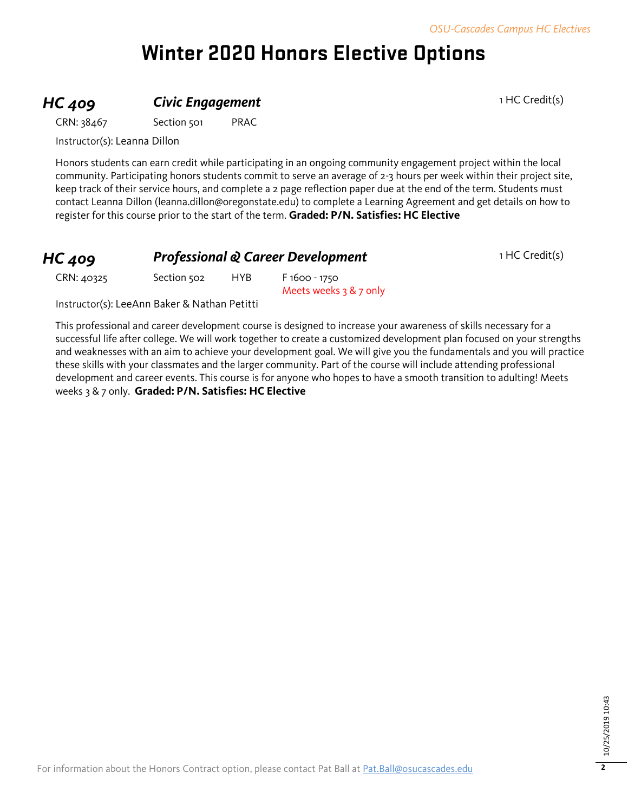# **Winter 2020 Honors Elective Options**

## **HC 409 Civic Engagement Civic Engagement** 1 HC Credit(s)

CRN: 38467 Section 501 PRAC

Instructor(s): Leanna Dillon

Honors students can earn credit while participating in an ongoing community engagement project within the local community. Participating honors students commit to serve an average of 2-3 hours per week within their project site, keep track of their service hours, and complete a 2 page reflection paper due at the end of the term. Students must contact Leanna Dillon (leanna.dillon@oregonstate.edu) to complete a Learning Agreement and get details on how to register for this course prior to the start of the term. **Graded: P/N. Satisfies: HC Elective**

| $HC$ 409   | <b>Professional &amp; Career Development</b> |      |                          | 1 HC Credit(s) |
|------------|----------------------------------------------|------|--------------------------|----------------|
| CRN: 40325 | Section 502                                  | HYB. | F 1600 - 1750            |                |
|            |                                              |      | Meets weeks $3 & 7$ only |                |

Instructor(s): LeeAnn Baker & Nathan Petitti

This professional and career development course is designed to increase your awareness of skills necessary for a successful life after college. We will work together to create a customized development plan focused on your strengths and weaknesses with an aim to achieve your development goal. We will give you the fundamentals and you will practice these skills with your classmates and the larger community. Part of the course will include attending professional development and career events. This course is for anyone who hopes to have a smooth transition to adulting! Meets weeks 3 & 7 only. **Graded: P/N. Satisfies: HC Elective**